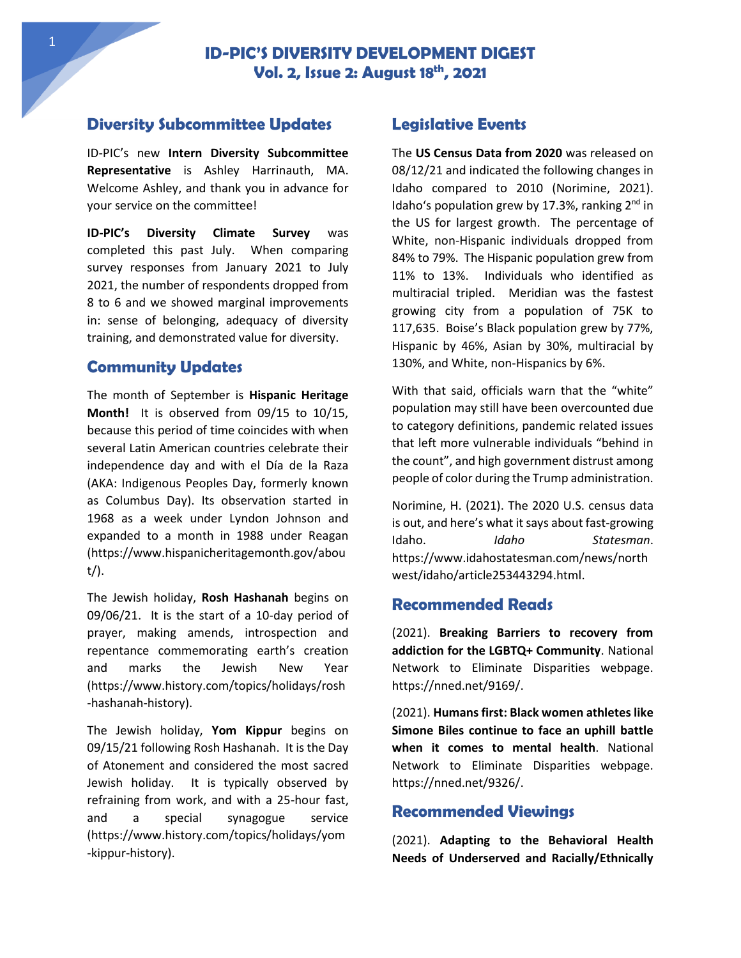## **Diversity Subcommittee Updates**

ID-PIC's new **Intern Diversity Subcommittee Representative** is Ashley Harrinauth, MA. Welcome Ashley, and thank you in advance for your service on the committee!

**ID-PIC's Diversity Climate Survey** was completed this past July. When comparing survey responses from January 2021 to July 2021, the number of respondents dropped from 8 to 6 and we showed marginal improvements in: sense of belonging, adequacy of diversity training, and demonstrated value for diversity.

# **Community Updates**

The month of September is **Hispanic Heritage Month!** It is observed from 09/15 to 10/15, because this period of time coincides with when several Latin American countries celebrate their independence day and with el Día de la Raza (AKA: Indigenous Peoples Day, formerly known as Columbus Day). Its observation started in 1968 as a week under Lyndon Johnson and expanded to a month in 1988 under Reagan (https://www.hispanicheritagemonth.gov/abou t/).

The Jewish holiday, **Rosh Hashanah** begins on 09/06/21. It is the start of a 10-day period of prayer, making amends, introspection and repentance commemorating earth's creation and marks the Jewish New Year (https://www.history.com/topics/holidays/rosh -hashanah-history).

The Jewish holiday, **Yom Kippur** begins on 09/15/21 following Rosh Hashanah. It is the Day of Atonement and considered the most sacred Jewish holiday. It is typically observed by refraining from work, and with a 25-hour fast, and a special synagogue service (https://www.history.com/topics/holidays/yom -kippur-history).

## **Legislative Events**

The **US Census Data from 2020** was released on 08/12/21 and indicated the following changes in Idaho compared to 2010 (Norimine, 2021). Idaho's population grew by 17.3%, ranking 2<sup>nd</sup> in the US for largest growth. The percentage of White, non-Hispanic individuals dropped from 84% to 79%. The Hispanic population grew from 11% to 13%. Individuals who identified as multiracial tripled. Meridian was the fastest growing city from a population of 75K to 117,635. Boise's Black population grew by 77%, Hispanic by 46%, Asian by 30%, multiracial by 130%, and White, non-Hispanics by 6%.

With that said, officials warn that the "white" population may still have been overcounted due to category definitions, pandemic related issues that left more vulnerable individuals "behind in the count", and high government distrust among people of color during the Trump administration.

Norimine, H. (2021). The 2020 U.S. census data is out, and here's what it says about fast-growing Idaho. *Idaho Statesman*. https://www.idahostatesman.com/news/north west/idaho/article253443294.html.

#### **Recommended Reads**

(2021). **Breaking Barriers to recovery from addiction for the LGBTQ+ Community**. National Network to Eliminate Disparities webpage. https://nned.net/9169/.

(2021). **Humans first: Black women athletes like Simone Biles continue to face an uphill battle when it comes to mental health**. National Network to Eliminate Disparities webpage. https://nned.net/9326/.

#### **Recommended Viewings**

(2021). **Adapting to the Behavioral Health Needs of Underserved and Racially/Ethnically**